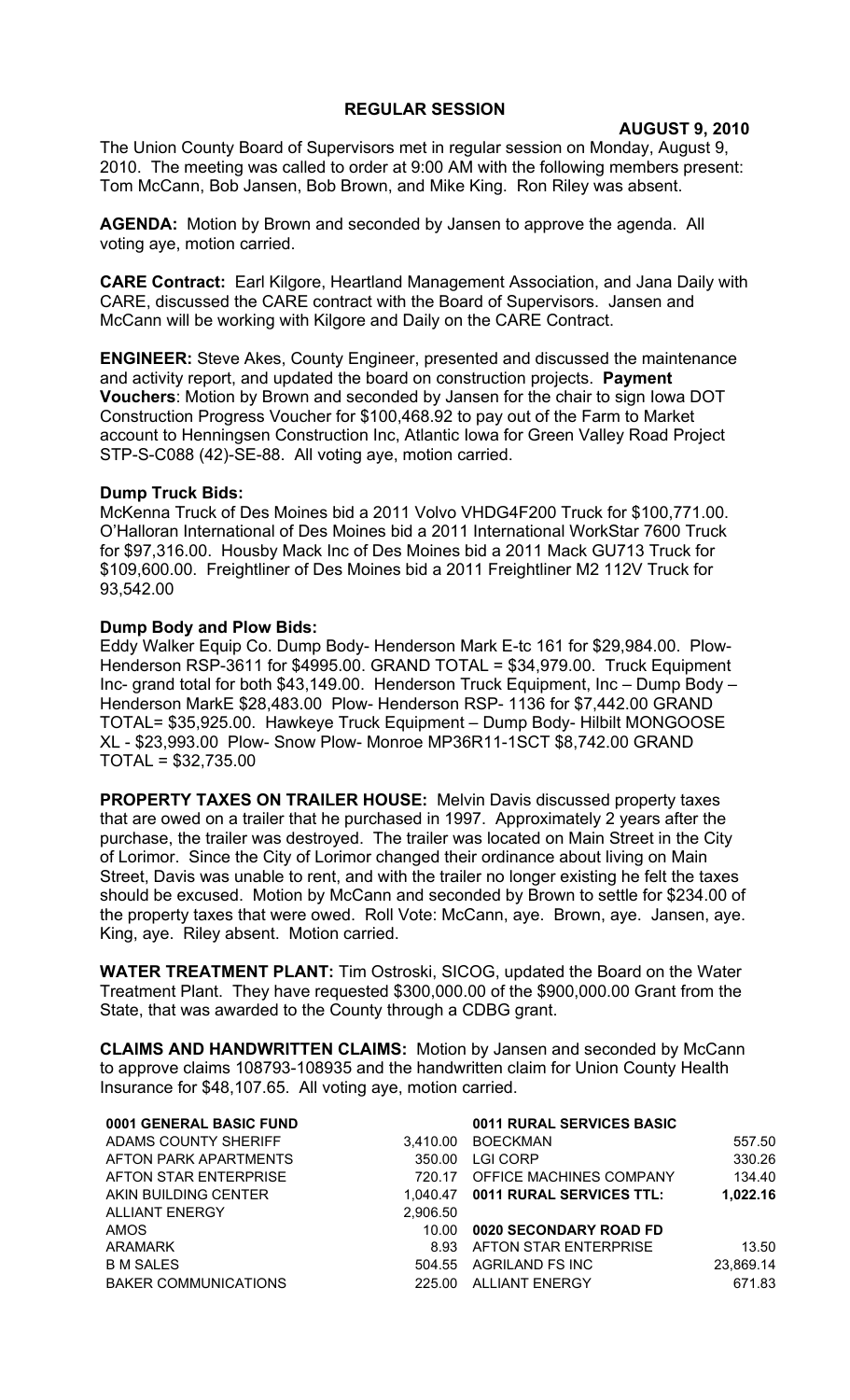## **REGULAR SESSION**

**AUGUST 9, 2010**

The Union County Board of Supervisors met in regular session on Monday, August 9, 2010. The meeting was called to order at 9:00 AM with the following members present: Tom McCann, Bob Jansen, Bob Brown, and Mike King. Ron Riley was absent.

**AGENDA:** Motion by Brown and seconded by Jansen to approve the agenda. All voting aye, motion carried.

**CARE Contract:** Earl Kilgore, Heartland Management Association, and Jana Daily with CARE, discussed the CARE contract with the Board of Supervisors. Jansen and McCann will be working with Kilgore and Daily on the CARE Contract.

**ENGINEER:** Steve Akes, County Engineer, presented and discussed the maintenance and activity report, and updated the board on construction projects. **Payment Vouchers**: Motion by Brown and seconded by Jansen for the chair to sign Iowa DOT Construction Progress Voucher for \$100,468.92 to pay out of the Farm to Market account to Henningsen Construction Inc, Atlantic Iowa for Green Valley Road Project STP-S-C088 (42)-SE-88. All voting aye, motion carried.

## **Dump Truck Bids:**

McKenna Truck of Des Moines bid a 2011 Volvo VHDG4F200 Truck for \$100,771.00. O'Halloran International of Des Moines bid a 2011 International WorkStar 7600 Truck for \$97,316.00. Housby Mack Inc of Des Moines bid a 2011 Mack GU713 Truck for \$109,600.00. Freightliner of Des Moines bid a 2011 Freightliner M2 112V Truck for 93,542.00

## **Dump Body and Plow Bids:**

Eddy Walker Equip Co. Dump Body- Henderson Mark E-tc 161 for \$29,984.00. Plow-Henderson RSP-3611 for \$4995.00. GRAND TOTAL = \$34,979.00. Truck Equipment Inc- grand total for both \$43,149.00. Henderson Truck Equipment, Inc – Dump Body – Henderson MarkE \$28,483.00 Plow- Henderson RSP- 1136 for \$7,442.00 GRAND TOTAL= \$35,925.00. Hawkeye Truck Equipment – Dump Body- Hilbilt MONGOOSE XL - \$23,993.00 Plow- Snow Plow- Monroe MP36R11-1SCT \$8,742.00 GRAND TOTAL = \$32,735.00

**PROPERTY TAXES ON TRAILER HOUSE:** Melvin Davis discussed property taxes that are owed on a trailer that he purchased in 1997. Approximately 2 years after the purchase, the trailer was destroyed. The trailer was located on Main Street in the City of Lorimor. Since the City of Lorimor changed their ordinance about living on Main Street, Davis was unable to rent, and with the trailer no longer existing he felt the taxes should be excused. Motion by McCann and seconded by Brown to settle for \$234.00 of the property taxes that were owed. Roll Vote: McCann, aye. Brown, aye. Jansen, aye. King, aye. Riley absent. Motion carried.

**WATER TREATMENT PLANT:** Tim Ostroski, SICOG, updated the Board on the Water Treatment Plant. They have requested \$300,000.00 of the \$900,000.00 Grant from the State, that was awarded to the County through a CDBG grant.

**CLAIMS AND HANDWRITTEN CLAIMS:** Motion by Jansen and seconded by McCann to approve claims 108793-108935 and the handwritten claim for Union County Health Insurance for \$48,107.65. All voting aye, motion carried.

| 0001 GENERAL BASIC FUND     |          | 0011 RURAL SERVICES BASIC          |           |
|-----------------------------|----------|------------------------------------|-----------|
| ADAMS COUNTY SHERIFF        | 3.410.00 | <b>BOECKMAN</b>                    | 557.50    |
| AFTON PARK APARTMENTS       | 350.00   | <b>LGI CORP</b>                    | 330.26    |
| AFTON STAR ENTERPRISE       | 720.17   | OFFICE MACHINES COMPANY            | 134.40    |
| AKIN BUILDING CENTER        |          | 1,040.47  0011 RURAL SERVICES TTL: | 1,022.16  |
| ALLIANT ENERGY              | 2,906.50 |                                    |           |
| <b>AMOS</b>                 | 10.00    | 0020 SECONDARY ROAD FD             |           |
| ARAMARK                     | 8.93     | AFTON STAR ENTERPRISE              | 13.50     |
| <b>B M SALES</b>            | 504.55   | AGRILAND FS INC                    | 23,869.14 |
| <b>BAKER COMMUNICATIONS</b> | 225.00   | ALLIANT ENERGY                     | 671.83    |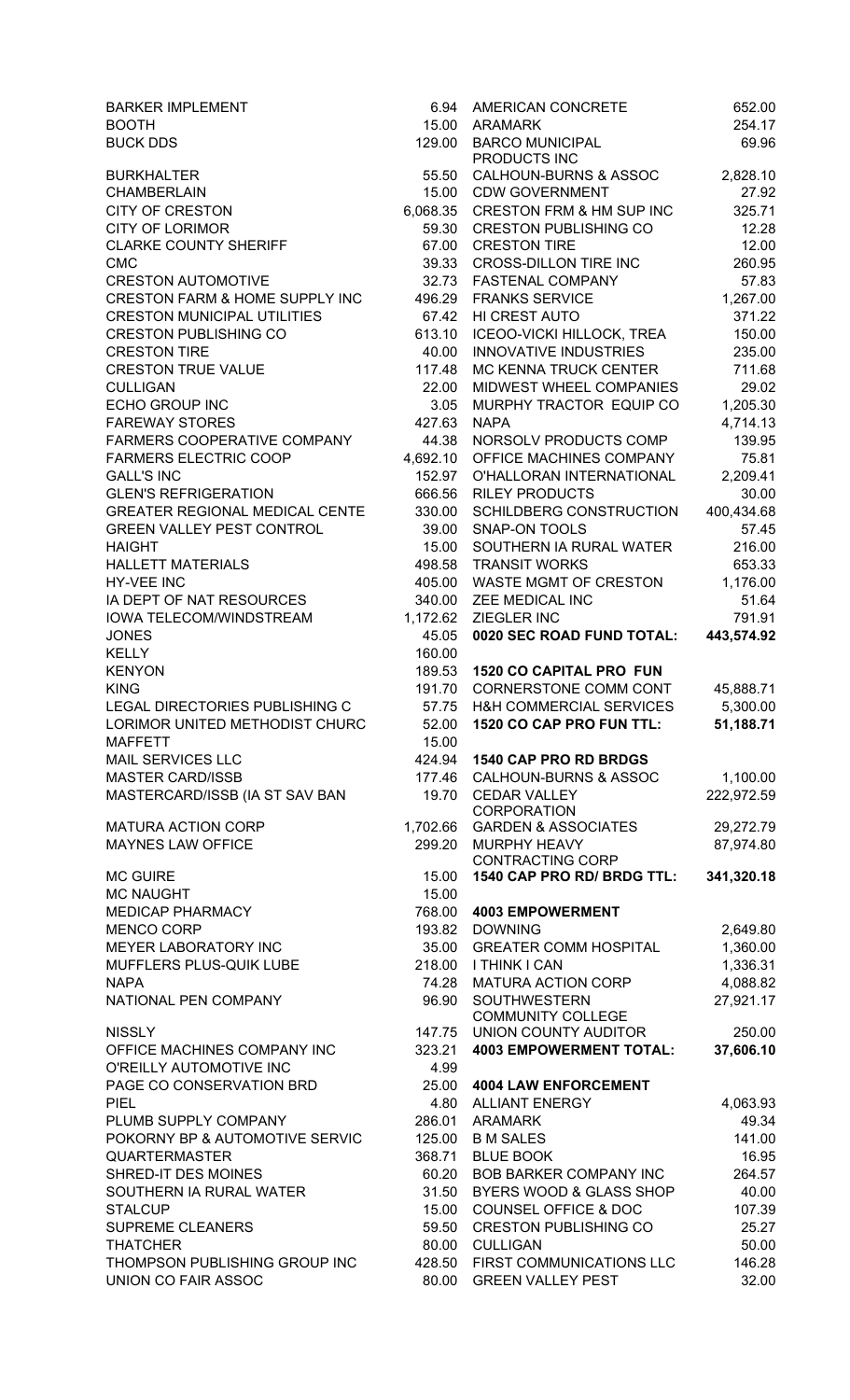| <b>BARKER IMPLEMENT</b>                    | 6.94              | AMERICAN CONCRETE                                               |
|--------------------------------------------|-------------------|-----------------------------------------------------------------|
| <b>BOOTH</b>                               | 15.00             | <b>ARAMARK</b>                                                  |
| <b>BUCK DDS</b>                            | 129.00            | <b>BARCO MUNICIPAL</b>                                          |
|                                            |                   | PRODUCTS INC                                                    |
| <b>BURKHALTER</b><br><b>CHAMBERLAIN</b>    | 55.50             | <b>CALHOUN-BURNS &amp; ASSOC</b><br><b>CDW GOVERNMENT</b>       |
| <b>CITY OF CRESTON</b>                     | 15.00<br>6,068.35 | <b>CRESTON FRM &amp; HM SUP IN</b>                              |
| <b>CITY OF LORIMOR</b>                     | 59.30             | <b>CRESTON PUBLISHING CO</b>                                    |
| <b>CLARKE COUNTY SHERIFF</b>               | 67.00             | <b>CRESTON TIRE</b>                                             |
| <b>CMC</b>                                 | 39.33             | <b>CROSS-DILLON TIRE INC</b>                                    |
| <b>CRESTON AUTOMOTIVE</b>                  | 32.73             | <b>FASTENAL COMPANY</b>                                         |
| <b>CRESTON FARM &amp; HOME SUPPLY INC</b>  | 496.29            | <b>FRANKS SERVICE</b>                                           |
| <b>CRESTON MUNICIPAL UTILITIES</b>         | 67.42             | HI CREST AUTO                                                   |
| <b>CRESTON PUBLISHING CO</b>               | 613.10            | <b>ICEOO-VICKI HILLOCK, TREA</b>                                |
| <b>CRESTON TIRE</b>                        | 40.00             | <b>INNOVATIVE INDUSTRIES</b>                                    |
| <b>CRESTON TRUE VALUE</b>                  | 117.48            | MC KENNA TRUCK CENTER                                           |
| <b>CULLIGAN</b>                            | 22.00             | MIDWEST WHEEL COMPANII                                          |
| <b>ECHO GROUP INC</b>                      | 3.05              | MURPHY TRACTOR EQUIP (                                          |
| <b>FAREWAY STORES</b>                      | 427.63            | <b>NAPA</b>                                                     |
| FARMERS COOPERATIVE COMPANY                | 44.38             | NORSOLV PRODUCTS COMP                                           |
| <b>FARMERS ELECTRIC COOP</b>               | 4,692.10          | OFFICE MACHINES COMPAN                                          |
| <b>GALL'S INC</b>                          | 152.97            | O'HALLORAN INTERNATION/                                         |
| <b>GLEN'S REFRIGERATION</b>                | 666.56            | <b>RILEY PRODUCTS</b>                                           |
| <b>GREATER REGIONAL MEDICAL CENTE</b>      | 330.00            | <b>SCHILDBERG CONSTRUCTION</b>                                  |
| <b>GREEN VALLEY PEST CONTROL</b>           | 39.00             | <b>SNAP-ON TOOLS</b>                                            |
| <b>HAIGHT</b><br><b>HALLETT MATERIALS</b>  | 15.00<br>498.58   | SOUTHERN IA RURAL WATE<br><b>TRANSIT WORKS</b>                  |
| <b>HY-VEE INC</b>                          | 405.00            | <b>WASTE MGMT OF CRESTON</b>                                    |
| IA DEPT OF NAT RESOURCES                   | 340.00            | ZEE MEDICAL INC                                                 |
| IOWA TELECOM/WINDSTREAM                    | 1,172.62          | <b>ZIEGLER INC</b>                                              |
| <b>JONES</b>                               | 45.05             | 0020 SEC ROAD FUND TOTA                                         |
| <b>KELLY</b>                               | 160.00            |                                                                 |
| <b>KENYON</b>                              | 189.53            | <b>1520 CO CAPITAL PRO FUN</b>                                  |
| <b>KING</b>                                | 191.70            | <b>CORNERSTONE COMM CON</b>                                     |
| LEGAL DIRECTORIES PUBLISHING C             | 57.75             | <b>H&amp;H COMMERCIAL SERVICE</b>                               |
| LORIMOR UNITED METHODIST CHURC             | 52.00             | 1520 CO CAP PRO FUN TTL:                                        |
| <b>MAFFETT</b>                             | 15.00             |                                                                 |
| MAIL SERVICES LLC                          | 424.94            | <b>1540 CAP PRO RD BRDGS</b>                                    |
| <b>MASTER CARD/ISSB</b>                    | 177.46            | <b>CALHOUN-BURNS &amp; ASSOC</b>                                |
| MASTERCARD/ISSB (IA ST SAV BAN             | 19.70             | <b>CEDAR VALLEY</b><br><b>CORPORATION</b>                       |
| <b>MATURA ACTION CORP</b>                  | 1,702.66          | <b>GARDEN &amp; ASSOCIATES</b>                                  |
| <b>MAYNES LAW OFFICE</b>                   | 299.20            | MURPHY HEAVY                                                    |
|                                            |                   | <b>CONTRACTING CORP</b>                                         |
| <b>MC GUIRE</b>                            | 15.00             | 1540 CAP PRO RD/ BRDG TT                                        |
| <b>MC NAUGHT</b>                           | 15.00             |                                                                 |
| <b>MEDICAP PHARMACY</b>                    | 768.00            | <b>4003 EMPOWERMENT</b>                                         |
| <b>MENCO CORP</b>                          | 193.82            | <b>DOWNING</b>                                                  |
| MEYER LABORATORY INC                       | 35.00             | <b>GREATER COMM HOSPITAL</b>                                    |
| MUFFLERS PLUS-QUIK LUBE                    | 218.00            | I THINK I CAN                                                   |
| <b>NAPA</b><br>NATIONAL PEN COMPANY        | 74.28<br>96.90    | <b>MATURA ACTION CORP</b><br><b>SOUTHWESTERN</b>                |
|                                            |                   | <b>COMMUNITY COLLEGE</b>                                        |
| <b>NISSLY</b>                              | 147.75            | UNION COUNTY AUDITOR                                            |
| OFFICE MACHINES COMPANY INC                | 323.21            | <b>4003 EMPOWERMENT TOTA</b>                                    |
| O'REILLY AUTOMOTIVE INC                    | 4.99              |                                                                 |
| PAGE CO CONSERVATION BRD                   | 25.00             | <b>4004 LAW ENFORCEMENT</b>                                     |
| <b>PIEL</b>                                | 4.80              | <b>ALLIANT ENERGY</b>                                           |
| PLUMB SUPPLY COMPANY                       | 286.01            | <b>ARAMARK</b>                                                  |
| POKORNY BP & AUTOMOTIVE SERVIC             | 125.00            | <b>B M SALES</b>                                                |
| <b>QUARTERMASTER</b>                       | 368.71            | <b>BLUE BOOK</b>                                                |
| SHRED-IT DES MOINES                        | 60.20             | <b>BOB BARKER COMPANY INC</b>                                   |
| SOUTHERN IA RURAL WATER                    | 31.50             | BYERS WOOD & GLASS SHO                                          |
| <b>STALCUP</b>                             | 15.00             | <b>COUNSEL OFFICE &amp; DOC</b><br><b>CRESTON PUBLISHING CO</b> |
| <b>SUPREME CLEANERS</b><br><b>THATCHER</b> | 59.50<br>80.00    | <b>CULLIGAN</b>                                                 |
| THOMPSON PUBLISHING GROUP INC              | 428.50            | FIRST COMMUNICATIONS LI                                         |
| <b>UNION CO FAIR ASSOC</b>                 | 80.00             | <b>GREEN VALLEY PEST</b>                                        |
|                                            |                   |                                                                 |

| <b>BARKER IMPLEMENT</b>                           | 6.94             | AMERICAN CONCRETE                                            | 652.00               |
|---------------------------------------------------|------------------|--------------------------------------------------------------|----------------------|
| BOOTH                                             | 15.00            | ARAMARK                                                      | 254.17               |
| <b>BUCK DDS</b>                                   | 129.00           | <b>BARCO MUNICIPAL</b>                                       | 69.96                |
|                                                   | 55.50            | PRODUCTS INC<br><b>CALHOUN-BURNS &amp; ASSOC</b>             |                      |
| BURKHALTER<br><b>CHAMBERLAIN</b>                  |                  | 15.00 CDW GOVERNMENT                                         | 2,828.10<br>27.92    |
| <b>CITY OF CRESTON</b>                            |                  | 6,068.35 CRESTON FRM & HM SUP INC                            | 325.71               |
| CITY OF LORIMOR                                   | 59.30            | <b>CRESTON PUBLISHING CO</b>                                 | 12.28                |
| <b>CLARKE COUNTY SHERIFF</b>                      | 67.00            | <b>CRESTON TIRE</b>                                          | 12.00                |
| <b>CMC</b>                                        | 39.33            | <b>CROSS-DILLON TIRE INC</b>                                 | 260.95               |
| <b>CRESTON AUTOMOTIVE</b>                         | 32.73            | <b>FASTENAL COMPANY</b>                                      | 57.83                |
| <b>CRESTON FARM &amp; HOME SUPPLY INC</b>         | 496.29           | <b>FRANKS SERVICE</b>                                        | 1,267.00             |
| <b>CRESTON MUNICIPAL UTILITIES</b>                | 67.42            | HI CREST AUTO                                                | 371.22               |
| <b>CRESTON PUBLISHING CO</b>                      | 613.10           | <b>ICEOO-VICKI HILLOCK, TREA</b>                             | 150.00               |
| <b>CRESTON TIRE</b>                               | 40.00            | <b>INNOVATIVE INDUSTRIES</b>                                 | 235.00               |
| <b>CRESTON TRUE VALUE</b>                         | 117.48           | MC KENNA TRUCK CENTER                                        | 711.68               |
| <b>CULLIGAN</b>                                   | 22.00            | MIDWEST WHEEL COMPANIES                                      | 29.02                |
| ECHO GROUP INC                                    | 3.05             | MURPHY TRACTOR EQUIP CO                                      | 1,205.30             |
| <b>FAREWAY STORES</b>                             | 427.63           | <b>NAPA</b>                                                  | 4,714.13             |
| FARMERS COOPERATIVE COMPANY                       | 44.38            | NORSOLV PRODUCTS COMP                                        | 139.95               |
| <b>FARMERS ELECTRIC COOP</b><br><b>GALL'S INC</b> | 4,692.10         | OFFICE MACHINES COMPANY<br>O'HALLORAN INTERNATIONAL          | 75.81                |
| <b>GLEN'S REFRIGERATION</b>                       | 152.97<br>666.56 | <b>RILEY PRODUCTS</b>                                        | 2,209.41<br>30.00    |
| GREATER REGIONAL MEDICAL CENTE                    | 330.00           | SCHILDBERG CONSTRUCTION                                      | 400,434.68           |
| <b>GREEN VALLEY PEST CONTROL</b>                  | 39.00            | <b>SNAP-ON TOOLS</b>                                         | 57.45                |
| <b>HAIGHT</b>                                     | 15.00            | SOUTHERN IA RURAL WATER                                      | 216.00               |
| <b>HALLETT MATERIALS</b>                          | 498.58           | <b>TRANSIT WORKS</b>                                         | 653.33               |
| HY-VEE INC                                        | 405.00           | WASTE MGMT OF CRESTON                                        | 1,176.00             |
| IA DEPT OF NAT RESOURCES                          | 340.00           | ZEE MEDICAL INC                                              | 51.64                |
| IOWA TELECOM/WINDSTREAM                           |                  | 1,172.62 ZIEGLER INC                                         | 791.91               |
| <b>JONES</b>                                      | 45.05            | 0020 SEC ROAD FUND TOTAL:                                    | 443,574.92           |
| <b>KELLY</b>                                      | 160.00           |                                                              |                      |
| <b>KENYON</b>                                     | 189.53           | <b>1520 CO CAPITAL PRO FUN</b>                               |                      |
| <b>KING</b>                                       | 191.70           | CORNERSTONE COMM CONT                                        | 45,888.71            |
| LEGAL DIRECTORIES PUBLISHING C                    | 57.75            | H&H COMMERCIAL SERVICES                                      | 5,300.00             |
| LORIMOR UNITED METHODIST CHURC                    | 52.00            | 1520 CO CAP PRO FUN TTL:                                     | 51,188.71            |
| <b>MAFFETT</b>                                    | 15.00            |                                                              |                      |
| MAIL SERVICES LLC<br><b>MASTER CARD/ISSB</b>      | 424.94           | <b>1540 CAP PRO RD BRDGS</b><br>177.46 CALHOUN-BURNS & ASSOC | 1,100.00             |
| MASTERCARD/ISSB (IA ST SAV BAN                    | 19.70            | <b>CEDAR VALLEY</b>                                          | 222,972.59           |
|                                                   |                  | <b>CORPORATION</b>                                           |                      |
| <b>MATURA ACTION CORP</b>                         | 1,702.66         | <b>GARDEN &amp; ASSOCIATES</b>                               | 29,272.79            |
| <b>MAYNES LAW OFFICE</b>                          | 299.20           | MURPHY HEAVY                                                 | 87,974.80            |
|                                                   |                  | <b>CONTRACTING CORP</b>                                      |                      |
| MC GUIRE                                          | 15.00            | 1540 CAP PRO RD/ BRDG TTL:                                   | 341,320.18           |
| <b>MC NAUGHT</b>                                  | 15.00            |                                                              |                      |
| <b>MEDICAP PHARMACY</b><br><b>MENCO CORP</b>      | 768.00<br>193.82 | <b>4003 EMPOWERMENT</b>                                      |                      |
| <b>MEYER LABORATORY INC</b>                       | 35.00            | <b>DOWNING</b><br><b>GREATER COMM HOSPITAL</b>               | 2,649.80<br>1,360.00 |
| MUFFLERS PLUS-QUIK LUBE                           | 218.00           | I THINK I CAN                                                | 1,336.31             |
| <b>NAPA</b>                                       | 74.28            | MATURA ACTION CORP                                           | 4,088.82             |
| NATIONAL PEN COMPANY                              | 96.90            | <b>SOUTHWESTERN</b>                                          | 27,921.17            |
|                                                   |                  | <b>COMMUNITY COLLEGE</b>                                     |                      |
| NISSLY                                            | 147.75           | UNION COUNTY AUDITOR                                         | 250.00               |
| OFFICE MACHINES COMPANY INC                       | 323.21           | <b>4003 EMPOWERMENT TOTAL:</b>                               | 37,606.10            |
| O'REILLY AUTOMOTIVE INC                           | 4.99             |                                                              |                      |
| PAGE CO CONSERVATION BRD                          |                  | 25.00 4004 LAW ENFORCEMENT                                   |                      |
| PIEL                                              |                  | 4.80 ALLIANT ENERGY                                          | 4,063.93             |
| PLUMB SUPPLY COMPANY                              |                  | 286.01 ARAMARK                                               | 49.34                |
| POKORNY BP & AUTOMOTIVE SERVIC                    | 125.00           | <b>B M SALES</b>                                             | 141.00               |
| QUARTERMASTER                                     | 368.71           | <b>BLUE BOOK</b>                                             | 16.95                |
| SHRED-IT DES MOINES<br>SOUTHERN IA RURAL WATER    | 60.20<br>31.50   | <b>BOB BARKER COMPANY INC</b><br>BYERS WOOD & GLASS SHOP     | 264.57<br>40.00      |
| <b>STALCUP</b>                                    | 15.00            | <b>COUNSEL OFFICE &amp; DOC</b>                              | 107.39               |
| <b>SUPREME CLEANERS</b>                           | 59.50            | <b>CRESTON PUBLISHING CO</b>                                 | 25.27                |
| <b>THATCHER</b>                                   | 80.00            | <b>CULLIGAN</b>                                              | 50.00                |
| THOMPSON PUBLISHING GROUP INC                     | 428.50           | FIRST COMMUNICATIONS LLC                                     | 146.28               |
| UNION CO FAIR ASSOC                               | 80.00            | <b>GREEN VALLEY PEST</b>                                     | 32.00                |
|                                                   |                  |                                                              |                      |